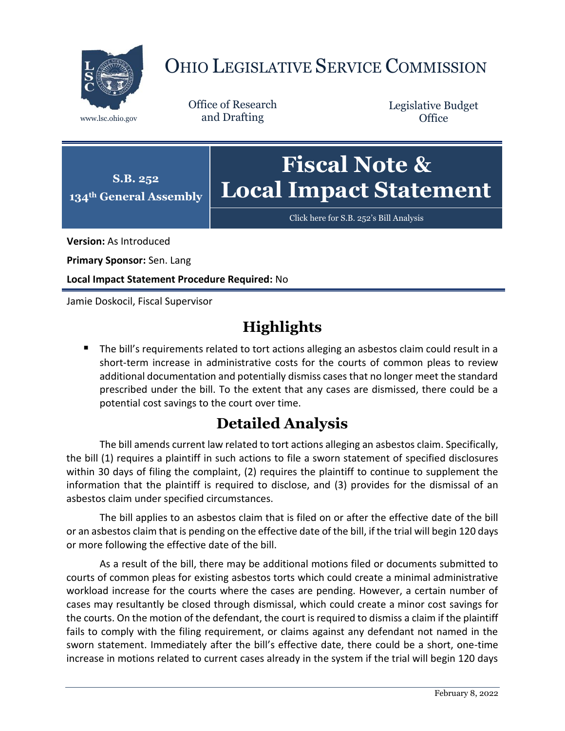

## OHIO LEGISLATIVE SERVICE COMMISSION

Office of Research www.lsc.ohio.gov and Drafting

Legislative Budget **Office** 



[Click here for S.B. 252](https://www.legislature.ohio.gov/legislation/legislation-documents?id=GA134-SB-252)'s Bill Analysis

**Version:** As Introduced

**Primary Sponsor:** Sen. Lang

**Local Impact Statement Procedure Required:** No

Jamie Doskocil, Fiscal Supervisor

## **Highlights**

The bill's requirements related to tort actions alleging an asbestos claim could result in a short-term increase in administrative costs for the courts of common pleas to review additional documentation and potentially dismiss cases that no longer meet the standard prescribed under the bill. To the extent that any cases are dismissed, there could be a potential cost savings to the court over time.

## **Detailed Analysis**

The bill amends current law related to tort actions alleging an asbestos claim. Specifically, the bill (1) requires a plaintiff in such actions to file a sworn statement of specified disclosures within 30 days of filing the complaint, (2) requires the plaintiff to continue to supplement the information that the plaintiff is required to disclose, and (3) provides for the dismissal of an asbestos claim under specified circumstances.

The bill applies to an asbestos claim that is filed on or after the effective date of the bill or an asbestos claim that is pending on the effective date of the bill, if the trial will begin 120 days or more following the effective date of the bill.

As a result of the bill, there may be additional motions filed or documents submitted to courts of common pleas for existing asbestos torts which could create a minimal administrative workload increase for the courts where the cases are pending. However, a certain number of cases may resultantly be closed through dismissal, which could create a minor cost savings for the courts. On the motion of the defendant, the court is required to dismiss a claim if the plaintiff fails to comply with the filing requirement, or claims against any defendant not named in the sworn statement. Immediately after the bill's effective date, there could be a short, one-time increase in motions related to current cases already in the system if the trial will begin 120 days